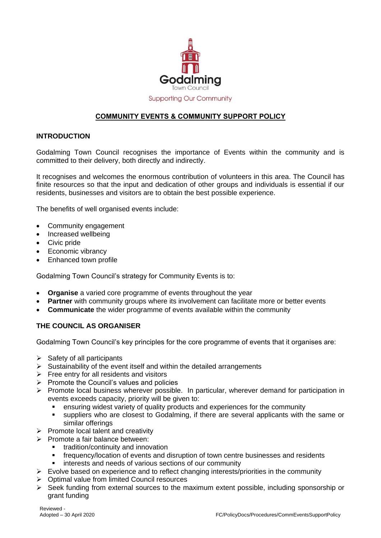

**Supporting Our Community** 

# **COMMUNITY EVENTS & COMMUNITY SUPPORT POLICY**

## **INTRODUCTION**

Godalming Town Council recognises the importance of Events within the community and is committed to their delivery, both directly and indirectly.

It recognises and welcomes the enormous contribution of volunteers in this area. The Council has finite resources so that the input and dedication of other groups and individuals is essential if our residents, businesses and visitors are to obtain the best possible experience.

The benefits of well organised events include:

- Community engagement
- Increased wellbeing
- Civic pride
- Economic vibrancy
- Enhanced town profile

Godalming Town Council's strategy for Community Events is to:

- **Organise** a varied core programme of events throughout the year
- **Partner** with community groups where its involvement can facilitate more or better events
- **Communicate** the wider programme of events available within the community

### **THE COUNCIL AS ORGANISER**

Godalming Town Council's key principles for the core programme of events that it organises are:

- $\triangleright$  Safety of all participants
- $\triangleright$  Sustainability of the event itself and within the detailed arrangements
- $\triangleright$  Free entry for all residents and visitors
- $\triangleright$  Promote the Council's values and policies
- Promote local business wherever possible. In particular, wherever demand for participation in events exceeds capacity, priority will be given to:
	- ensuring widest variety of quality products and experiences for the community
	- suppliers who are closest to Godalming, if there are several applicants with the same or similar offerings
- $\triangleright$  Promote local talent and creativity
- $\triangleright$  Promote a fair balance between:
	- tradition/continuity and innovation
	- frequency/location of events and disruption of town centre businesses and residents
	- **i** interests and needs of various sections of our community
- $\triangleright$  Evolve based on experience and to reflect changing interests/priorities in the community
- $\triangleright$  Optimal value from limited Council resources
- Seek funding from external sources to the maximum extent possible, including sponsorship or grant funding